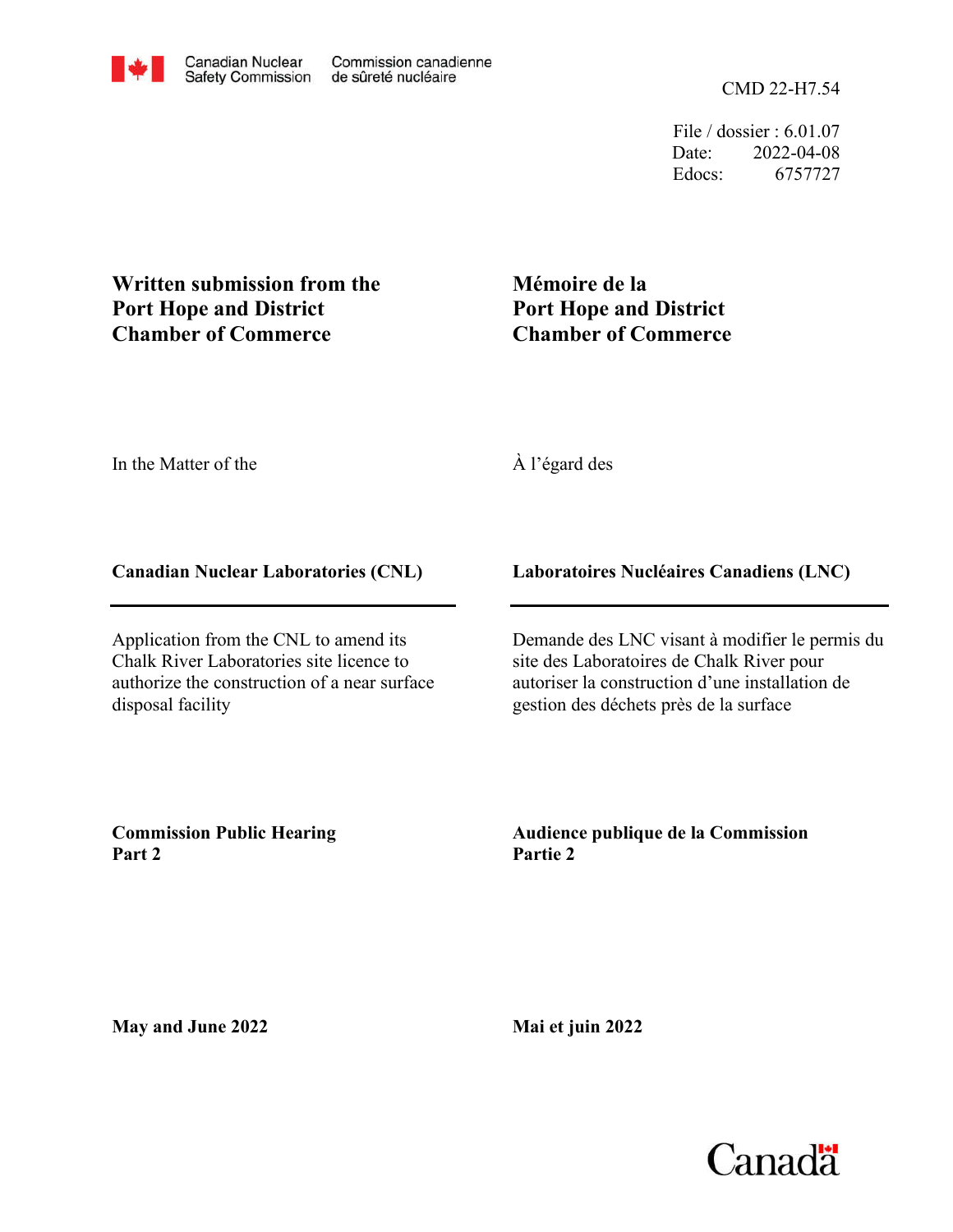CMD 22-H7.54

File / dossier : 6.01.07 Date: 2022-04-08 Edocs: 6757727

**Written submission from the Port Hope and District Chamber of Commerce**

## **Mémoire de la Port Hope and District Chamber of Commerce**

In the Matter of the

À l'égard des

## **Canadian Nuclear Laboratories (CNL)**

Application from the CNL to amend its Chalk River Laboratories site licence to authorize the construction of a near surface disposal facility

## **Laboratoires Nucléaires Canadiens (LNC)**

Demande des LNC visant à modifier le permis du site des Laboratoires de Chalk River pour autoriser la construction d'une installation de gestion des déchets près de la surface

**Commission Public Hearing Part 2**

**Audience publique de la Commission Partie 2**

**May and June 2022**

**Mai et juin 2022**





**Canadian Nuclear**